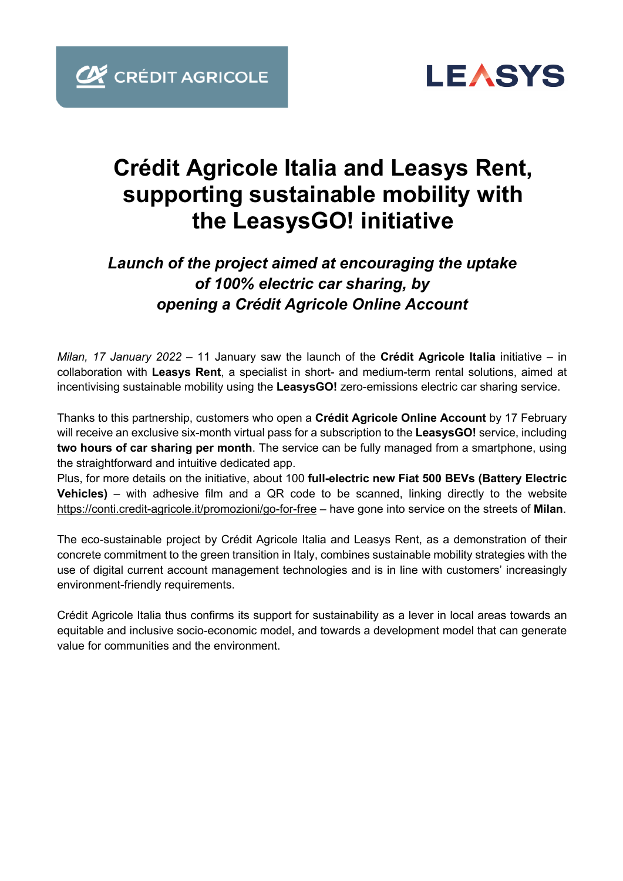

## **Crédit Agricole Italia and Leasys Rent, supporting sustainable mobility with the LeasysGO! initiative**

### *Launch of the project aimed at encouraging the uptake of 100% electric car sharing, by opening a Crédit Agricole Online Account*

*Milan, 17 January 2022* – 11 January saw the launch of the **Crédit Agricole Italia** initiative – in collaboration with **Leasys Rent**, a specialist in short- and medium-term rental solutions, aimed at incentivising sustainable mobility using the **LeasysGO!** zero-emissions electric car sharing service.

Thanks to this partnership, customers who open a **Crédit Agricole Online Account** by 17 February will receive an exclusive six-month virtual pass for a subscription to the **LeasysGO!** service, including **two hours of car sharing per month**. The service can be fully managed from a smartphone, using the straightforward and intuitive dedicated app.

Plus, for more details on the initiative, about 100 **full-electric new Fiat 500 BEVs (Battery Electric Vehicles)** – with adhesive film and a QR code to be scanned, linking directly to the website https://conti.credit-agricole.it/promozioni/go-for-free – have gone into service on the streets of **Milan**.

The eco-sustainable project by Crédit Agricole Italia and Leasys Rent, as a demonstration of their concrete commitment to the green transition in Italy, combines sustainable mobility strategies with the use of digital current account management technologies and is in line with customers' increasingly environment-friendly requirements.

Crédit Agricole Italia thus confirms its support for sustainability as a lever in local areas towards an equitable and inclusive socio-economic model, and towards a development model that can generate value for communities and the environment.